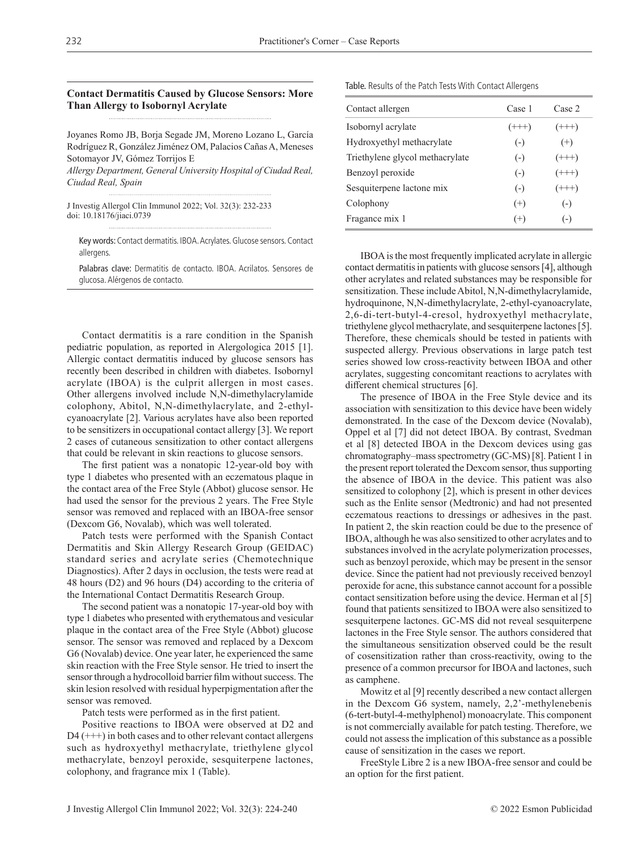**Contact Dermatitis Caused by Glucose Sensors: More Than Allergy to Isobornyl Acrylate**

Joyanes Romo JB, Borja Segade JM, Moreno Lozano L, García Rodríguez R, González Jiménez OM, Palacios Cañas A, Meneses Sotomayor JV, Gómez Torrijos E *Allergy Department, General University Hospital of Ciudad Real,* 

*Ciudad Real, Spain*

J Investig Allergol Clin Immunol 2022; Vol. 32(3): 232-233 doi: 10.18176/jiaci.0739

Key words: Contact dermatitis. IBOA. Acrylates. Glucose sensors. Contact allergens.

Palabras clave: Dermatitis de contacto. IBOA. Acrilatos. Sensores de glucosa. Alérgenos de contacto.

Contact dermatitis is a rare condition in the Spanish pediatric population, as reported in Alergologica 2015 [1]. Allergic contact dermatitis induced by glucose sensors has recently been described in children with diabetes. Isobornyl acrylate (IBOA) is the culprit allergen in most cases. Other allergens involved include N,N-dimethylacrylamide colophony, Abitol, N,N-dimethylacrylate, and 2-ethylcyanoacrylate [2]. Various acrylates have also been reported to be sensitizers in occupational contact allergy [3]. We report 2 cases of cutaneous sensitization to other contact allergens that could be relevant in skin reactions to glucose sensors.

The first patient was a nonatopic 12-year-old boy with type 1 diabetes who presented with an eczematous plaque in the contact area of the Free Style (Abbot) glucose sensor. He had used the sensor for the previous 2 years. The Free Style sensor was removed and replaced with an IBOA-free sensor (Dexcom G6, Novalab), which was well tolerated.

Patch tests were performed with the Spanish Contact Dermatitis and Skin Allergy Research Group (GEIDAC) standard series and acrylate series (Chemotechnique Diagnostics). After 2 days in occlusion, the tests were read at 48 hours (D2) and 96 hours (D4) according to the criteria of the International Contact Dermatitis Research Group.

The second patient was a nonatopic 17-year-old boy with type 1 diabetes who presented with erythematous and vesicular plaque in the contact area of the Free Style (Abbot) glucose sensor. The sensor was removed and replaced by a Dexcom G6 (Novalab) device. One year later, he experienced the same skin reaction with the Free Style sensor. He tried to insert the sensor through a hydrocolloid barrier film without success. The skin lesion resolved with residual hyperpigmentation after the sensor was removed.

Patch tests were performed as in the first patient.

Positive reactions to IBOA were observed at D2 and  $D4$  (+++) in both cases and to other relevant contact allergens such as hydroxyethyl methacrylate, triethylene glycol methacrylate, benzoyl peroxide, sesquiterpene lactones, colophony, and fragrance mix 1 (Table).

Table. Results of the Patch Tests With Contact Allergens

| Contact allergen                | Case 1   | Case 2   |
|---------------------------------|----------|----------|
| Isobornyl acrylate              | $(+++)$  | $(++)$   |
| Hydroxyethyl methacrylate       | $(-)$    | $^{(+)}$ |
| Triethylene glycol methacrylate | $(-)$    | $(++)$   |
| Benzoyl peroxide                | $(-)$    | $(++)$   |
| Sesquiterpene lactone mix       | $(-)$    | $(++)$   |
| Colophony                       | $^{(+)}$ | $(-)$    |
| Fragance mix 1                  | $(+)$    | $(-)$    |

IBOA is the most frequently implicated acrylate in allergic contact dermatitis in patients with glucose sensors [4], although other acrylates and related substances may be responsible for sensitization. These include Abitol, N,N-dimethylacrylamide, hydroquinone, N,N-dimethylacrylate, 2-ethyl-cyanoacrylate, 2,6-di-tert-butyl-4-cresol, hydroxyethyl methacrylate, triethylene glycol methacrylate, and sesquiterpene lactones [5]. Therefore, these chemicals should be tested in patients with suspected allergy. Previous observations in large patch test series showed low cross-reactivity between IBOA and other acrylates, suggesting concomitant reactions to acrylates with different chemical structures [6].

The presence of IBOA in the Free Style device and its association with sensitization to this device have been widely demonstrated. In the case of the Dexcom device (Novalab), Oppel et al [7] did not detect IBOA. By contrast, Svedman et al [8] detected IBOA in the Dexcom devices using gas chromatography–mass spectrometry (GC-MS) [8]. Patient 1 in the present report tolerated the Dexcom sensor, thus supporting the absence of IBOA in the device. This patient was also sensitized to colophony [2], which is present in other devices such as the Enlite sensor (Medtronic) and had not presented eczematous reactions to dressings or adhesives in the past. In patient 2, the skin reaction could be due to the presence of IBOA, although he was also sensitized to other acrylates and to substances involved in the acrylate polymerization processes, such as benzoyl peroxide, which may be present in the sensor device. Since the patient had not previously received benzoyl peroxide for acne, this substance cannot account for a possible contact sensitization before using the device. Herman et al [5] found that patients sensitized to IBOA were also sensitized to sesquiterpene lactones. GC-MS did not reveal sesquiterpene lactones in the Free Style sensor. The authors considered that the simultaneous sensitization observed could be the result of cosensitization rather than cross-reactivity, owing to the presence of a common precursor for IBOA and lactones, such as camphene.

Mowitz et al [9] recently described a new contact allergen in the Dexcom G6 system, namely, 2,2'-methylenebenis (6-tert-butyl-4-methylphenol) monoacrylate. This component is not commercially available for patch testing. Therefore, we could not assess the implication of this substance as a possible cause of sensitization in the cases we report.

FreeStyle Libre 2 is a new IBOA-free sensor and could be an option for the first patient.